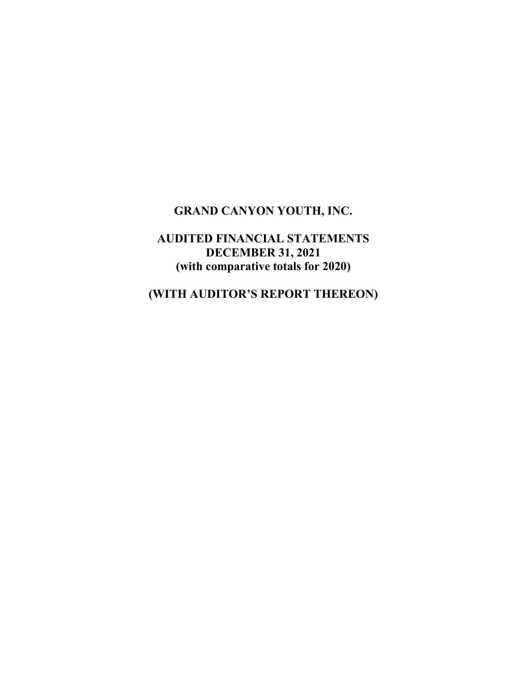# **GRAND CANYON YOUTH, INC.**

# **AUDITED FINANCIAL STATEMENTS DECEMBER 31, 2021 (with comparative totals for 2020)**

**(WITH AUDITOR'S REPORT THEREON)**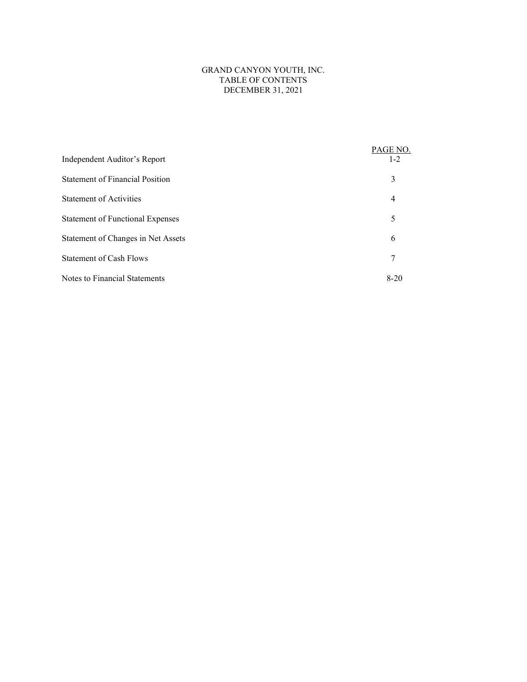# GRAND CANYON YOUTH, INC. TABLE OF CONTENTS DECEMBER 31, 2021

| Independent Auditor's Report            | PAGE NO.<br>$1 - 2$ |
|-----------------------------------------|---------------------|
| <b>Statement of Financial Position</b>  | 3                   |
| <b>Statement of Activities</b>          | 4                   |
| <b>Statement of Functional Expenses</b> | 5                   |
| Statement of Changes in Net Assets      | 6                   |
| <b>Statement of Cash Flows</b>          | 7                   |
| Notes to Financial Statements           | $8 - 20$            |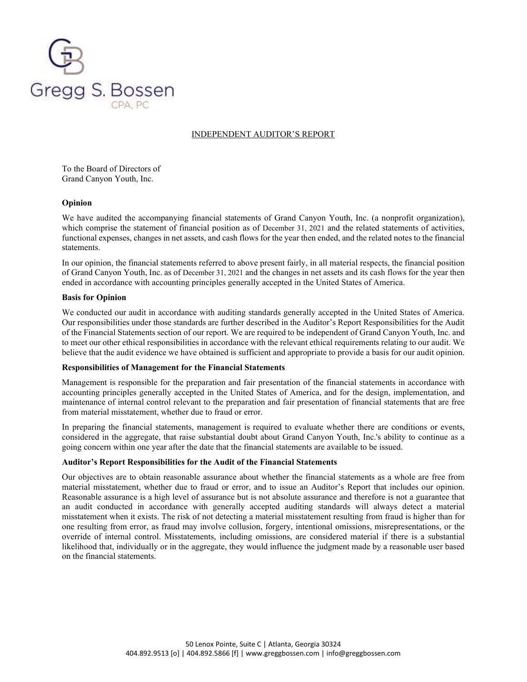

# INDEPENDENT AUDITOR'S REPORT

To the Board of Directors of Grand Canyon Youth, Inc.

# **Opinion**

We have audited the accompanying financial statements of Grand Canyon Youth, Inc. (a nonprofit organization), which comprise the statement of financial position as of December 31, 2021 and the related statements of activities, functional expenses, changes in net assets, and cash flows for the year then ended, and the related notes to the financial statements.

In our opinion, the financial statements referred to above present fairly, in all material respects, the financial position of Grand Canyon Youth, Inc. as of December 31, 2021 and the changes in net assets and its cash flows for the year then ended in accordance with accounting principles generally accepted in the United States of America.

# **Basis for Opinion**

We conducted our audit in accordance with auditing standards generally accepted in the United States of America. Our responsibilities under those standards are further described in the Auditor's Report Responsibilities for the Audit of the Financial Statements section of our report. We are required to be independent of Grand Canyon Youth, Inc. and to meet our other ethical responsibilities in accordance with the relevant ethical requirements relating to our audit. We believe that the audit evidence we have obtained is sufficient and appropriate to provide a basis for our audit opinion.

# **Responsibilities of Management for the Financial Statements**

Management is responsible for the preparation and fair presentation of the financial statements in accordance with accounting principles generally accepted in the United States of America, and for the design, implementation, and maintenance of internal control relevant to the preparation and fair presentation of financial statements that are free from material misstatement, whether due to fraud or error.

In preparing the financial statements, management is required to evaluate whether there are conditions or events, considered in the aggregate, that raise substantial doubt about Grand Canyon Youth, Inc.'s ability to continue as a going concern within one year after the date that the financial statements are available to be issued.

# **Auditor's Report Responsibilities for the Audit of the Financial Statements**

Our objectives are to obtain reasonable assurance about whether the financial statements as a whole are free from material misstatement, whether due to fraud or error, and to issue an Auditor's Report that includes our opinion. Reasonable assurance is a high level of assurance but is not absolute assurance and therefore is not a guarantee that an audit conducted in accordance with generally accepted auditing standards will always detect a material misstatement when it exists. The risk of not detecting a material misstatement resulting from fraud is higher than for one resulting from error, as fraud may involve collusion, forgery, intentional omissions, misrepresentations, or the override of internal control. Misstatements, including omissions, are considered material if there is a substantial likelihood that, individually or in the aggregate, they would influence the judgment made by a reasonable user based on the financial statements.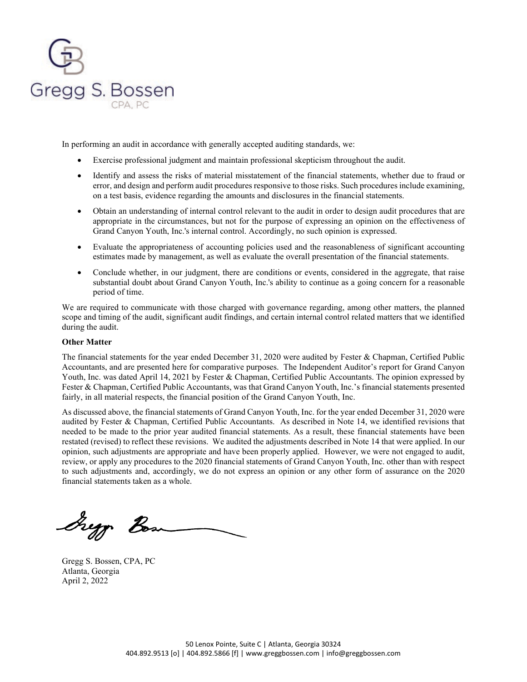

In performing an audit in accordance with generally accepted auditing standards, we:

- Exercise professional judgment and maintain professional skepticism throughout the audit.
- Identify and assess the risks of material misstatement of the financial statements, whether due to fraud or error, and design and perform audit procedures responsive to those risks. Such procedures include examining, on a test basis, evidence regarding the amounts and disclosures in the financial statements.
- Obtain an understanding of internal control relevant to the audit in order to design audit procedures that are appropriate in the circumstances, but not for the purpose of expressing an opinion on the effectiveness of Grand Canyon Youth, Inc.'s internal control. Accordingly, no such opinion is expressed.
- Evaluate the appropriateness of accounting policies used and the reasonableness of significant accounting estimates made by management, as well as evaluate the overall presentation of the financial statements.
- Conclude whether, in our judgment, there are conditions or events, considered in the aggregate, that raise substantial doubt about Grand Canyon Youth, Inc.'s ability to continue as a going concern for a reasonable period of time.

We are required to communicate with those charged with governance regarding, among other matters, the planned scope and timing of the audit, significant audit findings, and certain internal control related matters that we identified during the audit.

# **Other Matter**

The financial statements for the year ended December 31, 2020 were audited by Fester & Chapman, Certified Public Accountants, and are presented here for comparative purposes. The Independent Auditor's report for Grand Canyon Youth, Inc. was dated April 14, 2021 by Fester & Chapman, Certified Public Accountants. The opinion expressed by Fester & Chapman, Certified Public Accountants, was that Grand Canyon Youth, Inc.'s financial statements presented fairly, in all material respects, the financial position of the Grand Canyon Youth, Inc.

As discussed above, the financial statements of Grand Canyon Youth, Inc. for the year ended December 31, 2020 were audited by Fester & Chapman, Certified Public Accountants. As described in Note 14, we identified revisions that needed to be made to the prior year audited financial statements. As a result, these financial statements have been restated (revised) to reflect these revisions. We audited the adjustments described in Note 14 that were applied. In our opinion, such adjustments are appropriate and have been properly applied. However, we were not engaged to audit, review, or apply any procedures to the 2020 financial statements of Grand Canyon Youth, Inc. other than with respect to such adjustments and, accordingly, we do not express an opinion or any other form of assurance on the 2020 financial statements taken as a whole.

Sugg. Bos

Gregg S. Bossen, CPA, PC Atlanta, Georgia April 2, 2022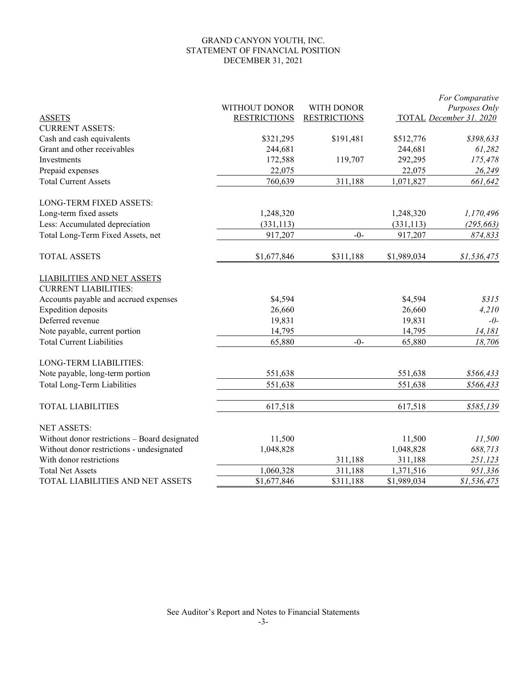# GRAND CANYON YOUTH, INC. STATEMENT OF FINANCIAL POSITION DECEMBER 31, 2021

|                                                                  |                     |                     |             | For Comparative         |
|------------------------------------------------------------------|---------------------|---------------------|-------------|-------------------------|
|                                                                  | WITHOUT DONOR       | WITH DONOR          |             | Purposes Only           |
| <b>ASSETS</b>                                                    | <b>RESTRICTIONS</b> | <b>RESTRICTIONS</b> |             | TOTAL December 31. 2020 |
| <b>CURRENT ASSETS:</b>                                           |                     |                     |             |                         |
| Cash and cash equivalents                                        | \$321,295           | \$191,481           | \$512,776   | \$398,633               |
| Grant and other receivables                                      | 244,681             |                     | 244,681     | 61,282                  |
| Investments                                                      | 172,588             | 119,707             | 292,295     | 175,478                 |
| Prepaid expenses                                                 | 22,075              |                     | 22,075      | 26,249                  |
| <b>Total Current Assets</b>                                      | 760,639             | 311,188             | 1,071,827   | 661,642                 |
| <b>LONG-TERM FIXED ASSETS:</b>                                   |                     |                     |             |                         |
| Long-term fixed assets                                           | 1,248,320           |                     | 1,248,320   | 1,170,496               |
| Less: Accumulated depreciation                                   | (331, 113)          |                     | (331, 113)  | (295, 663)              |
| Total Long-Term Fixed Assets, net                                | 917,207             | $-0-$               | 917,207     | 874,833                 |
| <b>TOTAL ASSETS</b>                                              | \$1,677,846         | \$311,188           | \$1,989,034 | \$1,536,475             |
| <b>LIABILITIES AND NET ASSETS</b><br><b>CURRENT LIABILITIES:</b> |                     |                     |             |                         |
| Accounts payable and accrued expenses                            | \$4,594             |                     | \$4,594     | \$315                   |
| <b>Expedition</b> deposits                                       | 26,660              |                     | 26,660      | 4,210                   |
| Deferred revenue                                                 | 19,831              |                     | 19,831      | $-0-$                   |
| Note payable, current portion                                    | 14,795              |                     | 14,795      | 14,181                  |
| <b>Total Current Liabilities</b>                                 | 65,880              | $-0-$               | 65,880      | 18,706                  |
| LONG-TERM LIABILITIES:                                           |                     |                     |             |                         |
| Note payable, long-term portion                                  | 551,638             |                     | 551,638     | \$566,433               |
| Total Long-Term Liabilities                                      | 551,638             |                     | 551,638     | \$566,433               |
| <b>TOTAL LIABILITIES</b>                                         | 617,518             |                     | 617,518     | \$585,139               |
| <b>NET ASSETS:</b>                                               |                     |                     |             |                         |
| Without donor restrictions - Board designated                    | 11,500              |                     | 11,500      | 11,500                  |
| Without donor restrictions - undesignated                        | 1,048,828           |                     | 1,048,828   | 688,713                 |
| With donor restrictions                                          |                     | 311,188             | 311,188     | 251,123                 |
| <b>Total Net Assets</b>                                          | 1,060,328           | 311,188             | 1,371,516   | 951,336                 |
| TOTAL LIABILITIES AND NET ASSETS                                 | \$1,677,846         | \$311,188           | \$1,989,034 | \$1,536,475             |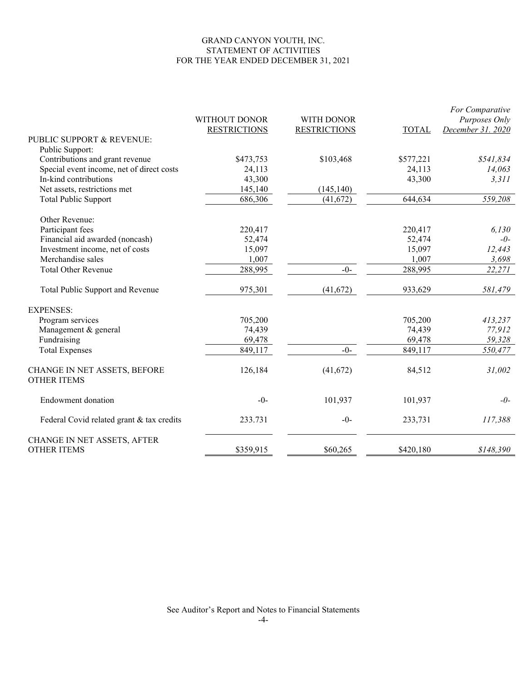# GRAND CANYON YOUTH, INC. STATEMENT OF ACTIVITIES FOR THE YEAR ENDED DECEMBER 31, 2021

|                                                    |                     |                     |              | For Comparative   |
|----------------------------------------------------|---------------------|---------------------|--------------|-------------------|
|                                                    | WITHOUT DONOR       | <b>WITH DONOR</b>   |              | Purposes Only     |
|                                                    | <b>RESTRICTIONS</b> | <b>RESTRICTIONS</b> | <b>TOTAL</b> | December 31. 2020 |
| PUBLIC SUPPORT & REVENUE:                          |                     |                     |              |                   |
| Public Support:                                    |                     |                     |              |                   |
| Contributions and grant revenue                    | \$473,753           | \$103,468           | \$577,221    | \$541,834         |
| Special event income, net of direct costs          | 24,113              |                     | 24,113       | 14,063            |
| In-kind contributions                              | 43,300              |                     | 43,300       | 3,311             |
| Net assets, restrictions met                       | 145,140             | (145, 140)          |              |                   |
| <b>Total Public Support</b>                        | 686,306             | (41, 672)           | 644,634      | 559,208           |
| Other Revenue:                                     |                     |                     |              |                   |
| Participant fees                                   | 220,417             |                     | 220,417      | 6,130             |
| Financial aid awarded (noncash)                    | 52,474              |                     | 52,474       | $-0$              |
| Investment income, net of costs                    | 15,097              |                     | 15,097       | 12,443            |
| Merchandise sales                                  | 1,007               |                     | 1,007        | 3,698             |
| <b>Total Other Revenue</b>                         | 288,995             | $-0-$               | 288,995      | 22,271            |
| Total Public Support and Revenue                   | 975,301             | (41,672)            | 933,629      | 581,479           |
| <b>EXPENSES:</b>                                   |                     |                     |              |                   |
| Program services                                   | 705,200             |                     | 705,200      | 413,237           |
| Management & general                               | 74,439              |                     | 74,439       | 77,912            |
| Fundraising                                        | 69,478              |                     | 69,478       | 59,328            |
| <b>Total Expenses</b>                              | 849,117             | $-0-$               | 849,117      | 550,477           |
| CHANGE IN NET ASSETS, BEFORE<br><b>OTHER ITEMS</b> | 126,184             | (41,672)            | 84,512       | 31,002            |
| Endowment donation                                 | $-0-$               | 101,937             | 101,937      | $-0-$             |
| Federal Covid related grant & tax credits          | 233.731             | $-0-$               | 233,731      | 117,388           |
| CHANGE IN NET ASSETS, AFTER                        |                     |                     |              |                   |
| <b>OTHER ITEMS</b>                                 | \$359,915           | \$60,265            | \$420,180    | \$148,390         |
|                                                    |                     |                     |              |                   |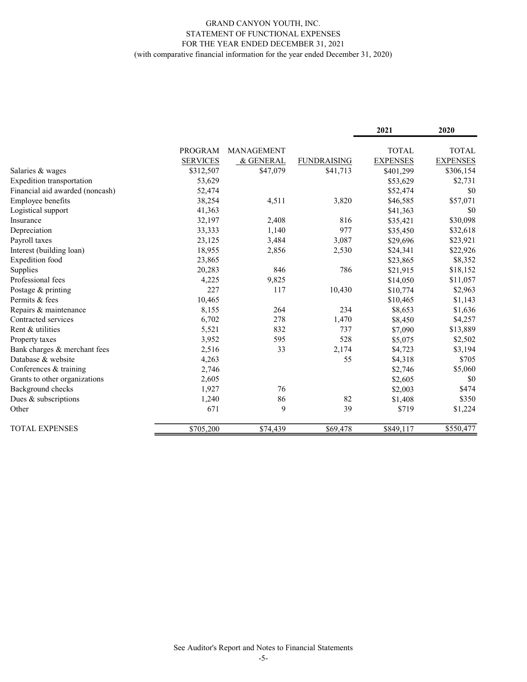# GRAND CANYON YOUTH, INC. STATEMENT OF FUNCTIONAL EXPENSES FOR THE YEAR ENDED DECEMBER 31, 2021 (with comparative financial information for the year ended December 31, 2020)

|                                 |                 |                   |                    | 2021            | 2020            |
|---------------------------------|-----------------|-------------------|--------------------|-----------------|-----------------|
|                                 |                 |                   |                    |                 |                 |
|                                 | <b>PROGRAM</b>  | <b>MANAGEMENT</b> |                    | <b>TOTAL</b>    | <b>TOTAL</b>    |
|                                 | <b>SERVICES</b> | & GENERAL         | <b>FUNDRAISING</b> | <b>EXPENSES</b> | <b>EXPENSES</b> |
| Salaries & wages                | \$312,507       | \$47,079          | \$41,713           | \$401,299       | \$306,154       |
| Expedition transportation       | 53,629          |                   |                    | \$53,629        | \$2,731         |
| Financial aid awarded (noncash) | 52,474          |                   |                    | \$52,474        | \$0             |
| Employee benefits               | 38,254          | 4,511             | 3,820              | \$46,585        | \$57,071        |
| Logistical support              | 41,363          |                   |                    | \$41,363        | \$0             |
| Insurance                       | 32,197          | 2,408             | 816                | \$35,421        | \$30,098        |
| Depreciation                    | 33,333          | 1,140             | 977                | \$35,450        | \$32,618        |
| Payroll taxes                   | 23,125          | 3,484             | 3,087              | \$29,696        | \$23,921        |
| Interest (building loan)        | 18,955          | 2,856             | 2,530              | \$24,341        | \$22,926        |
| <b>Expedition</b> food          | 23,865          |                   |                    | \$23,865        | \$8,352         |
| Supplies                        | 20,283          | 846               | 786                | \$21,915        | \$18,152        |
| Professional fees               | 4,225           | 9,825             |                    | \$14,050        | \$11,057        |
| Postage & printing              | 227             | 117               | 10,430             | \$10,774        | \$2,963         |
| Permits & fees                  | 10,465          |                   |                    | \$10,465        | \$1,143         |
| Repairs & maintenance           | 8,155           | 264               | 234                | \$8,653         | \$1,636         |
| Contracted services             | 6,702           | 278               | 1,470              | \$8,450         | \$4,257         |
| Rent & utilities                | 5,521           | 832               | 737                | \$7,090         | \$13,889        |
| Property taxes                  | 3,952           | 595               | 528                | \$5,075         | \$2,502         |
| Bank charges & merchant fees    | 2,516           | 33                | 2,174              | \$4,723         | \$3,194         |
| Database & website              | 4,263           |                   | 55                 | \$4,318         | \$705           |
| Conferences & training          | 2,746           |                   |                    | \$2,746         | \$5,060         |
| Grants to other organizations   | 2,605           |                   |                    | \$2,605         | \$0             |
| Background checks               | 1,927           | 76                |                    | \$2,003         | \$474           |
| Dues & subscriptions            | 1,240           | 86                | 82                 | \$1,408         | \$350           |
| Other                           | 671             | 9                 | 39                 | \$719           | \$1,224         |
| <b>TOTAL EXPENSES</b>           | \$705,200       | \$74,439          | \$69,478           | \$849,117       | \$550,477       |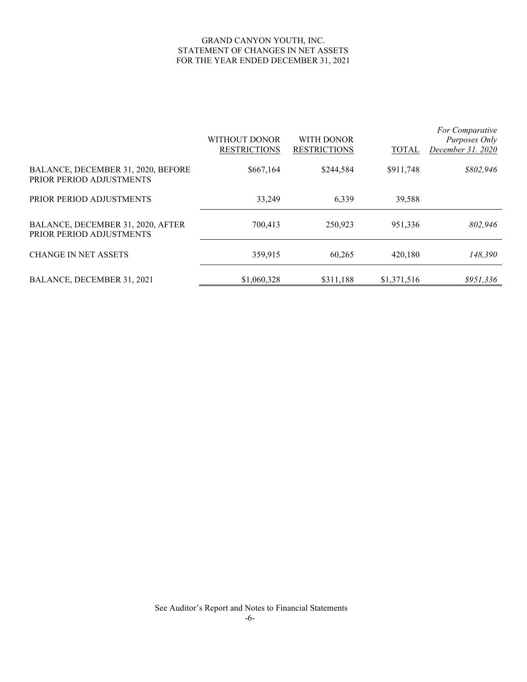# GRAND CANYON YOUTH, INC. STATEMENT OF CHANGES IN NET ASSETS FOR THE YEAR ENDED DECEMBER 31, 2021

|                                                                | WITHOUT DONOR<br><b>RESTRICTIONS</b> | WITH DONOR<br><b>RESTRICTIONS</b> | <b>TOTAL</b> | For Comparative<br>Purposes Only<br>December 31. 2020 |
|----------------------------------------------------------------|--------------------------------------|-----------------------------------|--------------|-------------------------------------------------------|
| BALANCE, DECEMBER 31, 2020, BEFORE<br>PRIOR PERIOD ADJUSTMENTS | \$667,164                            | \$244,584                         | \$911,748    | \$802,946                                             |
| PRIOR PERIOD ADJUSTMENTS                                       | 33,249                               | 6.339                             | 39,588       |                                                       |
| BALANCE, DECEMBER 31, 2020, AFTER<br>PRIOR PERIOD ADJUSTMENTS  | 700,413                              | 250,923                           | 951,336      | 802,946                                               |
| <b>CHANGE IN NET ASSETS</b>                                    | 359,915                              | 60.265                            | 420,180      | 148,390                                               |
| BALANCE, DECEMBER 31, 2021                                     | \$1,060,328                          | \$311.188                         | \$1,371,516  | \$951,336                                             |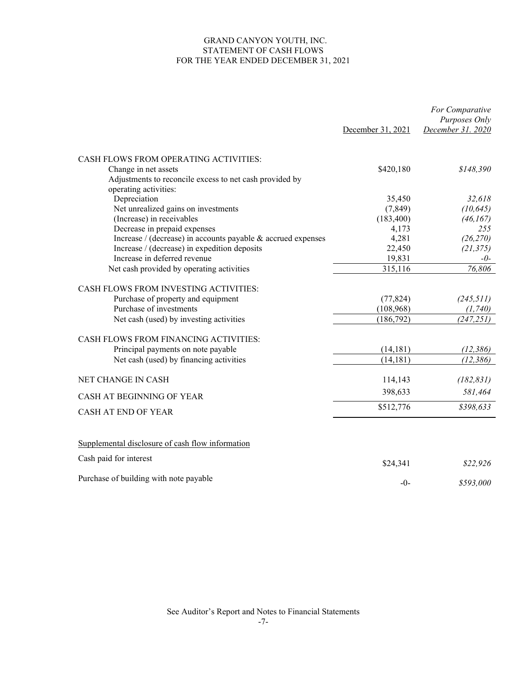# GRAND CANYON YOUTH, INC. STATEMENT OF CASH FLOWS FOR THE YEAR ENDED DECEMBER 31, 2021

|                                                                                  |                   | For Comparative<br>Purposes Only |
|----------------------------------------------------------------------------------|-------------------|----------------------------------|
|                                                                                  | December 31, 2021 | December 31. 2020                |
| CASH FLOWS FROM OPERATING ACTIVITIES:                                            |                   |                                  |
| Change in net assets                                                             | \$420,180         | \$148,390                        |
| Adjustments to reconcile excess to net cash provided by<br>operating activities: |                   |                                  |
| Depreciation                                                                     | 35,450            | 32,618                           |
| Net unrealized gains on investments                                              | (7, 849)          | (10, 645)                        |
| (Increase) in receivables                                                        | (183,400)         | (46, 167)                        |
| Decrease in prepaid expenses                                                     | 4,173             | 255                              |
| Increase / (decrease) in accounts payable & accrued expenses                     | 4,281             | (26, 270)                        |
| Increase / (decrease) in expedition deposits                                     | 22,450            | (21, 375)                        |
| Increase in deferred revenue                                                     | 19,831            |                                  |
| Net cash provided by operating activities                                        | 315,116           | 76,806                           |
| CASH FLOWS FROM INVESTING ACTIVITIES:                                            |                   |                                  |
| Purchase of property and equipment                                               | (77, 824)         | (245, 511)                       |
| Purchase of investments                                                          | (108,968)         | (1, 740)                         |
| Net cash (used) by investing activities                                          | (186,792)         | (247, 251)                       |
| CASH FLOWS FROM FINANCING ACTIVITIES:                                            |                   |                                  |
| Principal payments on note payable                                               | (14, 181)         | (12, 386)                        |
| Net cash (used) by financing activities                                          | (14, 181)         | (12, 386)                        |
|                                                                                  |                   |                                  |
| NET CHANGE IN CASH                                                               | 114,143           | (182, 831)                       |
| CASH AT BEGINNING OF YEAR                                                        | 398,633           | 581,464                          |
| <b>CASH AT END OF YEAR</b>                                                       | \$512,776         | \$398,633                        |
|                                                                                  |                   |                                  |
| Supplemental disclosure of cash flow information                                 |                   |                                  |
| Cash paid for interest                                                           | \$24,341          | \$22,926                         |
| Purchase of building with note payable                                           | $-0-$             | \$593,000                        |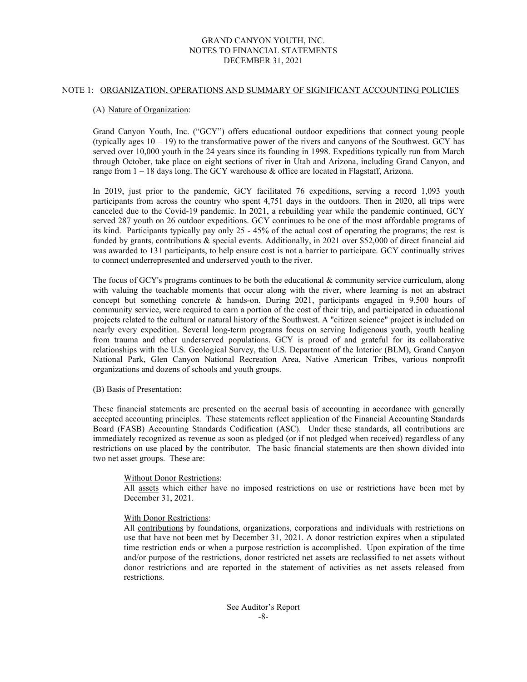# GRAND CANYON YOUTH, INC. NOTES TO FINANCIAL STATEMENTS DECEMBER 31, 2021

# NOTE 1: ORGANIZATION, OPERATIONS AND SUMMARY OF SIGNIFICANT ACCOUNTING POLICIES

#### (A) Nature of Organization:

Grand Canyon Youth, Inc. ("GCY") offers educational outdoor expeditions that connect young people (typically ages  $10 - 19$ ) to the transformative power of the rivers and canyons of the Southwest. GCY has served over 10,000 youth in the 24 years since its founding in 1998. Expeditions typically run from March through October, take place on eight sections of river in Utah and Arizona, including Grand Canyon, and range from  $1 - 18$  days long. The GCY warehouse & office are located in Flagstaff, Arizona.

In 2019, just prior to the pandemic, GCY facilitated 76 expeditions, serving a record 1,093 youth participants from across the country who spent 4,751 days in the outdoors. Then in 2020, all trips were canceled due to the Covid-19 pandemic. In 2021, a rebuilding year while the pandemic continued, GCY served 287 youth on 26 outdoor expeditions. GCY continues to be one of the most affordable programs of its kind. Participants typically pay only 25 - 45% of the actual cost of operating the programs; the rest is funded by grants, contributions & special events. Additionally, in 2021 over \$52,000 of direct financial aid was awarded to 131 participants, to help ensure cost is not a barrier to participate. GCY continually strives to connect underrepresented and underserved youth to the river.

The focus of GCY's programs continues to be both the educational  $\&$  community service curriculum, along with valuing the teachable moments that occur along with the river, where learning is not an abstract concept but something concrete & hands-on. During 2021, participants engaged in 9,500 hours of community service, were required to earn a portion of the cost of their trip, and participated in educational projects related to the cultural or natural history of the Southwest. A "citizen science" project is included on nearly every expedition. Several long-term programs focus on serving Indigenous youth, youth healing from trauma and other underserved populations. GCY is proud of and grateful for its collaborative relationships with the U.S. Geological Survey, the U.S. Department of the Interior (BLM), Grand Canyon National Park, Glen Canyon National Recreation Area, Native American Tribes, various nonprofit organizations and dozens of schools and youth groups.

# (B) Basis of Presentation:

These financial statements are presented on the accrual basis of accounting in accordance with generally accepted accounting principles. These statements reflect application of the Financial Accounting Standards Board (FASB) Accounting Standards Codification (ASC). Under these standards, all contributions are immediately recognized as revenue as soon as pledged (or if not pledged when received) regardless of any restrictions on use placed by the contributor. The basic financial statements are then shown divided into two net asset groups. These are:

# Without Donor Restrictions:

All assets which either have no imposed restrictions on use or restrictions have been met by December 31, 2021.

# With Donor Restrictions:

All contributions by foundations, organizations, corporations and individuals with restrictions on use that have not been met by December 31, 2021. A donor restriction expires when a stipulated time restriction ends or when a purpose restriction is accomplished. Upon expiration of the time and/or purpose of the restrictions, donor restricted net assets are reclassified to net assets without donor restrictions and are reported in the statement of activities as net assets released from restrictions.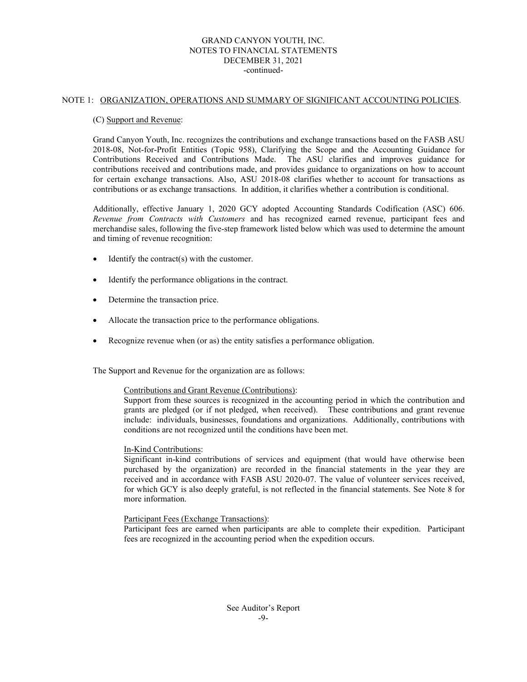# NOTE 1: ORGANIZATION, OPERATIONS AND SUMMARY OF SIGNIFICANT ACCOUNTING POLICIES.

# (C) Support and Revenue:

Grand Canyon Youth, Inc. recognizes the contributions and exchange transactions based on the FASB ASU 2018-08, Not-for-Profit Entities (Topic 958), Clarifying the Scope and the Accounting Guidance for Contributions Received and Contributions Made. The ASU clarifies and improves guidance for contributions received and contributions made, and provides guidance to organizations on how to account for certain exchange transactions. Also, ASU 2018-08 clarifies whether to account for transactions as contributions or as exchange transactions. In addition, it clarifies whether a contribution is conditional.

Additionally, effective January 1, 2020 GCY adopted Accounting Standards Codification (ASC) 606. *Revenue from Contracts with Customers* and has recognized earned revenue, participant fees and merchandise sales, following the five-step framework listed below which was used to determine the amount and timing of revenue recognition:

- Identify the contract(s) with the customer.
- Identify the performance obligations in the contract.
- Determine the transaction price.
- Allocate the transaction price to the performance obligations.
- Recognize revenue when (or as) the entity satisfies a performance obligation.

The Support and Revenue for the organization are as follows:

# Contributions and Grant Revenue (Contributions):

Support from these sources is recognized in the accounting period in which the contribution and grants are pledged (or if not pledged, when received). These contributions and grant revenue include: individuals, businesses, foundations and organizations. Additionally, contributions with conditions are not recognized until the conditions have been met.

# In-Kind Contributions:

Significant in-kind contributions of services and equipment (that would have otherwise been purchased by the organization) are recorded in the financial statements in the year they are received and in accordance with FASB ASU 2020-07. The value of volunteer services received, for which GCY is also deeply grateful, is not reflected in the financial statements. See Note 8 for more information.

# Participant Fees (Exchange Transactions):

Participant fees are earned when participants are able to complete their expedition. Participant fees are recognized in the accounting period when the expedition occurs.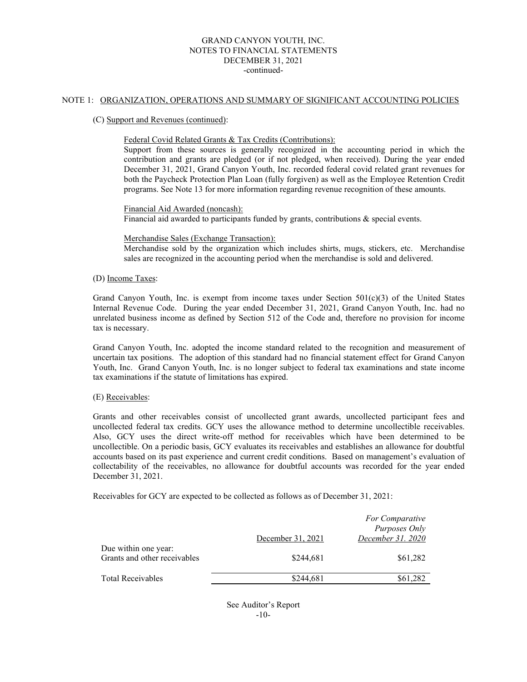# NOTE 1: ORGANIZATION, OPERATIONS AND SUMMARY OF SIGNIFICANT ACCOUNTING POLICIES

# (C) Support and Revenues (continued):

# Federal Covid Related Grants & Tax Credits (Contributions):

Support from these sources is generally recognized in the accounting period in which the contribution and grants are pledged (or if not pledged, when received). During the year ended December 31, 2021, Grand Canyon Youth, Inc. recorded federal covid related grant revenues for both the Paycheck Protection Plan Loan (fully forgiven) as well as the Employee Retention Credit programs. See Note 13 for more information regarding revenue recognition of these amounts.

# Financial Aid Awarded (noncash):

Financial aid awarded to participants funded by grants, contributions & special events.

# Merchandise Sales (Exchange Transaction):

Merchandise sold by the organization which includes shirts, mugs, stickers, etc. Merchandise sales are recognized in the accounting period when the merchandise is sold and delivered.

(D) Income Taxes:

Grand Canyon Youth, Inc. is exempt from income taxes under Section  $501(c)(3)$  of the United States Internal Revenue Code. During the year ended December 31, 2021, Grand Canyon Youth, Inc. had no unrelated business income as defined by Section 512 of the Code and, therefore no provision for income tax is necessary.

Grand Canyon Youth, Inc. adopted the income standard related to the recognition and measurement of uncertain tax positions. The adoption of this standard had no financial statement effect for Grand Canyon Youth, Inc. Grand Canyon Youth, Inc. is no longer subject to federal tax examinations and state income tax examinations if the statute of limitations has expired.

# (E) Receivables:

Grants and other receivables consist of uncollected grant awards, uncollected participant fees and uncollected federal tax credits. GCY uses the allowance method to determine uncollectible receivables. Also, GCY uses the direct write-off method for receivables which have been determined to be uncollectible. On a periodic basis, GCY evaluates its receivables and establishes an allowance for doubtful accounts based on its past experience and current credit conditions. Based on management's evaluation of collectability of the receivables, no allowance for doubtful accounts was recorded for the year ended December 31, 2021.

Receivables for GCY are expected to be collected as follows as of December 31, 2021:

|                                                      |                   | <b>For Comparative</b><br>Purposes Only |
|------------------------------------------------------|-------------------|-----------------------------------------|
|                                                      | December 31, 2021 | December 31. 2020                       |
| Due within one year:<br>Grants and other receivables | \$244,681         | \$61,282                                |
| <b>Total Receivables</b>                             | \$244,681         | \$61,282                                |
|                                                      |                   |                                         |

See Auditor's Report -10-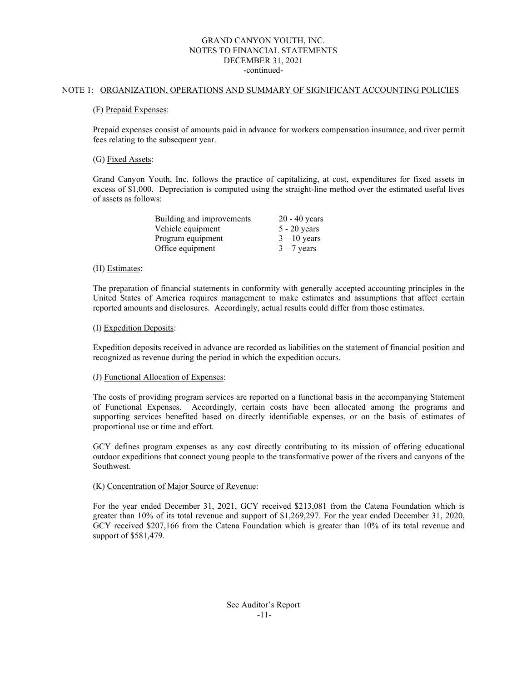# NOTE 1: ORGANIZATION, OPERATIONS AND SUMMARY OF SIGNIFICANT ACCOUNTING POLICIES

#### (F) Prepaid Expenses:

Prepaid expenses consist of amounts paid in advance for workers compensation insurance, and river permit fees relating to the subsequent year.

#### (G) Fixed Assets:

Grand Canyon Youth, Inc. follows the practice of capitalizing, at cost, expenditures for fixed assets in excess of \$1,000. Depreciation is computed using the straight-line method over the estimated useful lives of assets as follows:

| Building and improvements | $20 - 40$ years |
|---------------------------|-----------------|
| Vehicle equipment         | $5 - 20$ years  |
| Program equipment         | $3 - 10$ years  |
| Office equipment          | $3 - 7$ years   |

#### (H) Estimates:

The preparation of financial statements in conformity with generally accepted accounting principles in the United States of America requires management to make estimates and assumptions that affect certain reported amounts and disclosures. Accordingly, actual results could differ from those estimates.

#### (I) Expedition Deposits:

Expedition deposits received in advance are recorded as liabilities on the statement of financial position and recognized as revenue during the period in which the expedition occurs.

# (J) Functional Allocation of Expenses:

The costs of providing program services are reported on a functional basis in the accompanying Statement of Functional Expenses. Accordingly, certain costs have been allocated among the programs and supporting services benefited based on directly identifiable expenses, or on the basis of estimates of proportional use or time and effort.

GCY defines program expenses as any cost directly contributing to its mission of offering educational outdoor expeditions that connect young people to the transformative power of the rivers and canyons of the Southwest.

#### (K) Concentration of Major Source of Revenue:

For the year ended December 31, 2021, GCY received \$213,081 from the Catena Foundation which is greater than 10% of its total revenue and support of \$1,269,297. For the year ended December 31, 2020, GCY received \$207,166 from the Catena Foundation which is greater than 10% of its total revenue and support of \$581,479.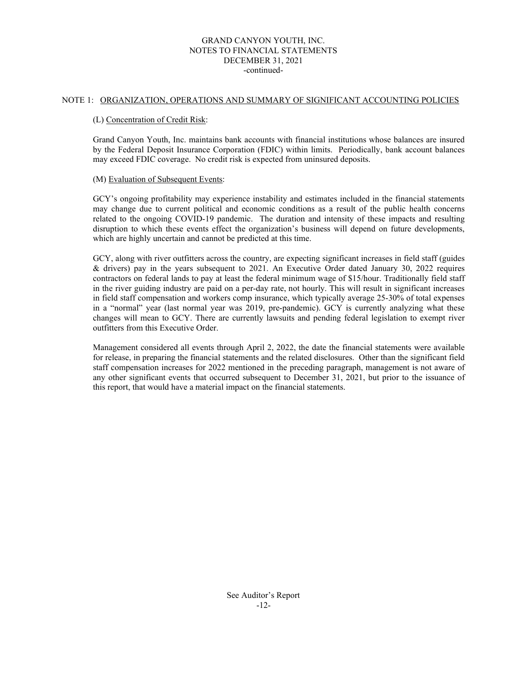# NOTE 1: ORGANIZATION, OPERATIONS AND SUMMARY OF SIGNIFICANT ACCOUNTING POLICIES

# (L) Concentration of Credit Risk:

Grand Canyon Youth, Inc. maintains bank accounts with financial institutions whose balances are insured by the Federal Deposit Insurance Corporation (FDIC) within limits. Periodically, bank account balances may exceed FDIC coverage. No credit risk is expected from uninsured deposits.

# (M) Evaluation of Subsequent Events:

GCY's ongoing profitability may experience instability and estimates included in the financial statements may change due to current political and economic conditions as a result of the public health concerns related to the ongoing COVID-19 pandemic. The duration and intensity of these impacts and resulting disruption to which these events effect the organization's business will depend on future developments, which are highly uncertain and cannot be predicted at this time.

GCY, along with river outfitters across the country, are expecting significant increases in field staff (guides & drivers) pay in the years subsequent to 2021. An Executive Order dated January 30, 2022 requires contractors on federal lands to pay at least the federal minimum wage of \$15/hour. Traditionally field staff in the river guiding industry are paid on a per-day rate, not hourly. This will result in significant increases in field staff compensation and workers comp insurance, which typically average 25-30% of total expenses in a "normal" year (last normal year was 2019, pre-pandemic). GCY is currently analyzing what these changes will mean to GCY. There are currently lawsuits and pending federal legislation to exempt river outfitters from this Executive Order.

Management considered all events through April 2, 2022, the date the financial statements were available for release, in preparing the financial statements and the related disclosures. Other than the significant field staff compensation increases for 2022 mentioned in the preceding paragraph, management is not aware of any other significant events that occurred subsequent to December 31, 2021, but prior to the issuance of this report, that would have a material impact on the financial statements.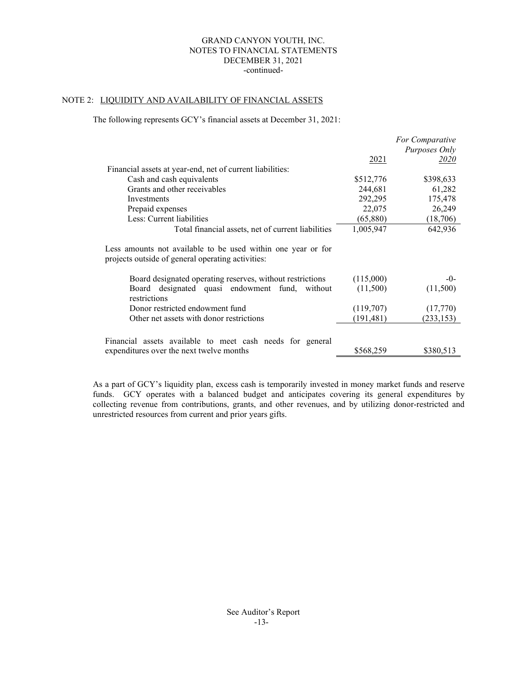# NOTE 2: LIQUIDITY AND AVAILABILITY OF FINANCIAL ASSETS

The following represents GCY's financial assets at December 31, 2021:

|                                                                                                                   |            | <b>For Comparative</b> |
|-------------------------------------------------------------------------------------------------------------------|------------|------------------------|
|                                                                                                                   |            | Purposes Only          |
|                                                                                                                   | 2021       | <i>2020</i>            |
| Financial assets at year-end, net of current liabilities:                                                         |            |                        |
| Cash and cash equivalents                                                                                         | \$512,776  | \$398,633              |
| Grants and other receivables                                                                                      | 244,681    | 61,282                 |
| Investments                                                                                                       | 292,295    | 175,478                |
| Prepaid expenses                                                                                                  | 22,075     | 26,249                 |
| Less: Current liabilities                                                                                         | (65, 880)  | (18,706)               |
| Total financial assets, net of current liabilities                                                                | 1,005,947  | 642,936                |
| Less amounts not available to be used within one year or for<br>projects outside of general operating activities: |            |                        |
| Board designated operating reserves, without restrictions                                                         | (115,000)  | $-0-$                  |
| Board designated quasi endowment fund, without<br>restrictions                                                    | (11,500)   | (11,500)               |
| Donor restricted endowment fund                                                                                   | (119,707)  | (17,770)               |
| Other net assets with donor restrictions                                                                          | (191, 481) | (233, 153)             |
| Financial assets available to meet cash needs for general                                                         |            |                        |
| expenditures over the next twelve months                                                                          | \$568,259  | \$380,513              |

As a part of GCY's liquidity plan, excess cash is temporarily invested in money market funds and reserve funds. GCY operates with a balanced budget and anticipates covering its general expenditures by collecting revenue from contributions, grants, and other revenues, and by utilizing donor-restricted and unrestricted resources from current and prior years gifts.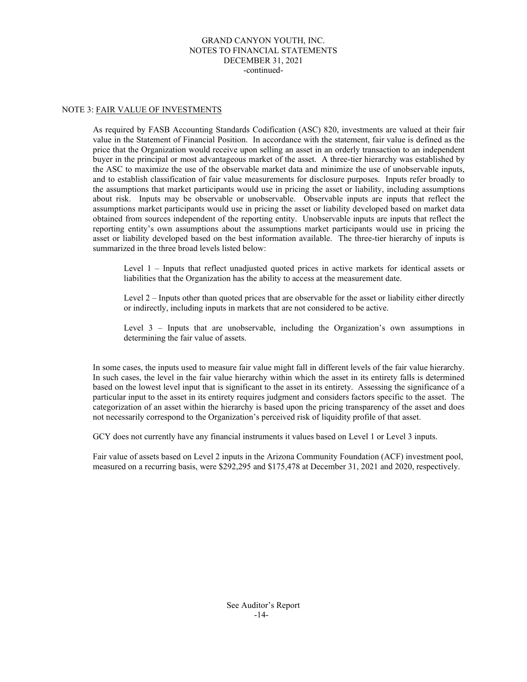# NOTE 3: FAIR VALUE OF INVESTMENTS

As required by FASB Accounting Standards Codification (ASC) 820, investments are valued at their fair value in the Statement of Financial Position. In accordance with the statement, fair value is defined as the price that the Organization would receive upon selling an asset in an orderly transaction to an independent buyer in the principal or most advantageous market of the asset. A three-tier hierarchy was established by the ASC to maximize the use of the observable market data and minimize the use of unobservable inputs, and to establish classification of fair value measurements for disclosure purposes. Inputs refer broadly to the assumptions that market participants would use in pricing the asset or liability, including assumptions about risk. Inputs may be observable or unobservable. Observable inputs are inputs that reflect the assumptions market participants would use in pricing the asset or liability developed based on market data obtained from sources independent of the reporting entity. Unobservable inputs are inputs that reflect the reporting entity's own assumptions about the assumptions market participants would use in pricing the asset or liability developed based on the best information available. The three-tier hierarchy of inputs is summarized in the three broad levels listed below:

Level 1 – Inputs that reflect unadjusted quoted prices in active markets for identical assets or liabilities that the Organization has the ability to access at the measurement date.

Level 2 – Inputs other than quoted prices that are observable for the asset or liability either directly or indirectly, including inputs in markets that are not considered to be active.

Level 3 – Inputs that are unobservable, including the Organization's own assumptions in determining the fair value of assets.

In some cases, the inputs used to measure fair value might fall in different levels of the fair value hierarchy. In such cases, the level in the fair value hierarchy within which the asset in its entirety falls is determined based on the lowest level input that is significant to the asset in its entirety. Assessing the significance of a particular input to the asset in its entirety requires judgment and considers factors specific to the asset. The categorization of an asset within the hierarchy is based upon the pricing transparency of the asset and does not necessarily correspond to the Organization's perceived risk of liquidity profile of that asset.

GCY does not currently have any financial instruments it values based on Level 1 or Level 3 inputs.

Fair value of assets based on Level 2 inputs in the Arizona Community Foundation (ACF) investment pool, measured on a recurring basis, were \$292,295 and \$175,478 at December 31, 2021 and 2020, respectively.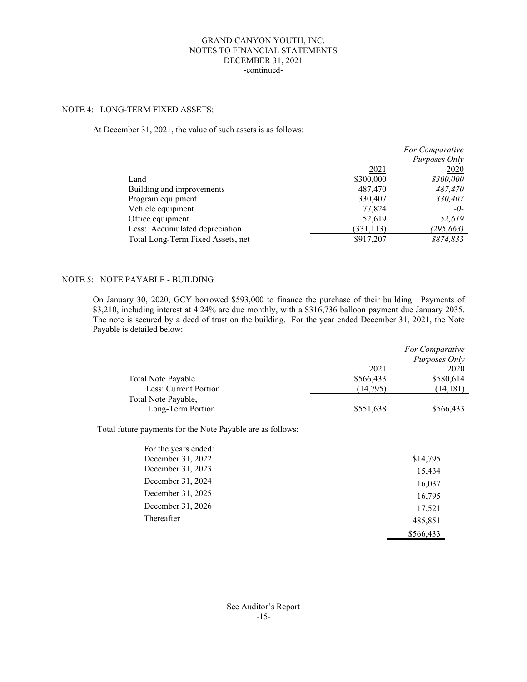# NOTE 4: LONG-TERM FIXED ASSETS:

At December 31, 2021, the value of such assets is as follows:

|                                   |            | <b>For Comparative</b> |
|-----------------------------------|------------|------------------------|
|                                   |            | Purposes Only          |
|                                   | 2021       | 2020                   |
| Land                              | \$300,000  | \$300,000              |
| Building and improvements         | 487,470    | 487,470                |
| Program equipment                 | 330,407    | 330,407                |
| Vehicle equipment                 | 77,824     | $-0-$                  |
| Office equipment                  | 52,619     | 52,619                 |
| Less: Accumulated depreciation    | (331, 113) | (295, 663)             |
| Total Long-Term Fixed Assets, net | \$917,207  | \$874,833              |
|                                   |            |                        |

# NOTE 5: NOTE PAYABLE - BUILDING

On January 30, 2020, GCY borrowed \$593,000 to finance the purchase of their building. Payments of \$3,210, including interest at 4.24% are due monthly, with a \$316,736 balloon payment due January 2035. The note is secured by a deed of trust on the building. For the year ended December 31, 2021, the Note Payable is detailed below:

|                       |           | For Comparative |
|-----------------------|-----------|-----------------|
|                       |           | Purposes Only   |
|                       | 2021      | <u>2020</u>     |
| Total Note Payable    | \$566,433 | \$580,614       |
| Less: Current Portion | (14,795)  | (14, 181)       |
| Total Note Payable,   |           |                 |
| Long-Term Portion     | \$551,638 | \$566,433       |

Total future payments for the Note Payable are as follows:

| For the years ended: |           |
|----------------------|-----------|
| December 31, 2022    | \$14,795  |
| December 31, 2023    | 15,434    |
| December 31, 2024    | 16,037    |
| December 31, 2025    | 16,795    |
| December 31, 2026    | 17,521    |
| Thereafter           | 485,851   |
|                      | \$566,433 |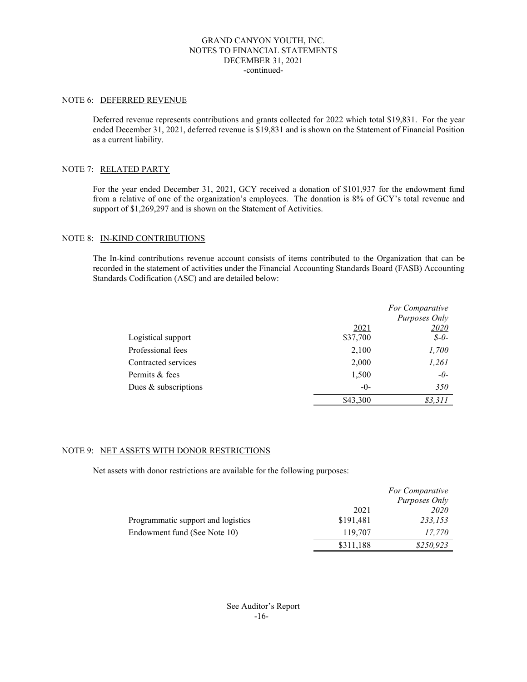# NOTE 6: DEFERRED REVENUE

Deferred revenue represents contributions and grants collected for 2022 which total \$19,831. For the year ended December 31, 2021, deferred revenue is \$19,831 and is shown on the Statement of Financial Position as a current liability.

# NOTE 7: RELATED PARTY

For the year ended December 31, 2021, GCY received a donation of \$101,937 for the endowment fund from a relative of one of the organization's employees. The donation is 8% of GCY's total revenue and support of \$1,269,297 and is shown on the Statement of Activities.

# NOTE 8: IN-KIND CONTRIBUTIONS

The In-kind contributions revenue account consists of items contributed to the Organization that can be recorded in the statement of activities under the Financial Accounting Standards Board (FASB) Accounting Standards Codification (ASC) and are detailed below:

|                      |          | For Comparative<br>Purposes Only |
|----------------------|----------|----------------------------------|
|                      | 2021     | 2020                             |
| Logistical support   | \$37,700 | $$-0-$                           |
| Professional fees    | 2,100    | 1,700                            |
| Contracted services  | 2,000    | 1,261                            |
| Permits & fees       | 1,500    | $-0-$                            |
| Dues & subscriptions | $-0-$    | 350                              |
|                      | \$43,300 | \$3,311                          |

# NOTE 9: NET ASSETS WITH DONOR RESTRICTIONS

Net assets with donor restrictions are available for the following purposes:

|                                    |           | <b>For Comparative</b> |
|------------------------------------|-----------|------------------------|
|                                    |           | Purposes Only          |
|                                    | 2021      | <i>2020</i>            |
| Programmatic support and logistics | \$191,481 | 233,153                |
| Endowment fund (See Note 10)       | 119,707   | 17.770                 |
|                                    | \$311,188 | \$250,923              |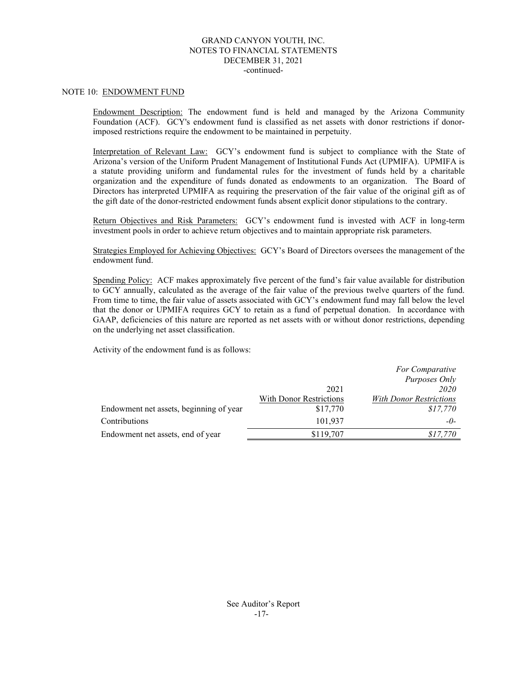#### NOTE 10: ENDOWMENT FUND

Endowment Description: The endowment fund is held and managed by the Arizona Community Foundation (ACF). GCY's endowment fund is classified as net assets with donor restrictions if donorimposed restrictions require the endowment to be maintained in perpetuity.

Interpretation of Relevant Law: GCY's endowment fund is subject to compliance with the State of Arizona's version of the Uniform Prudent Management of Institutional Funds Act (UPMIFA). UPMIFA is a statute providing uniform and fundamental rules for the investment of funds held by a charitable organization and the expenditure of funds donated as endowments to an organization. The Board of Directors has interpreted UPMIFA as requiring the preservation of the fair value of the original gift as of the gift date of the donor-restricted endowment funds absent explicit donor stipulations to the contrary.

Return Objectives and Risk Parameters: GCY's endowment fund is invested with ACF in long-term investment pools in order to achieve return objectives and to maintain appropriate risk parameters.

Strategies Employed for Achieving Objectives: GCY's Board of Directors oversees the management of the endowment fund.

Spending Policy: ACF makes approximately five percent of the fund's fair value available for distribution to GCY annually, calculated as the average of the fair value of the previous twelve quarters of the fund. From time to time, the fair value of assets associated with GCY's endowment fund may fall below the level that the donor or UPMIFA requires GCY to retain as a fund of perpetual donation. In accordance with GAAP, deficiencies of this nature are reported as net assets with or without donor restrictions, depending on the underlying net asset classification.

Activity of the endowment fund is as follows:

|                                         |                                | For Comparative                |
|-----------------------------------------|--------------------------------|--------------------------------|
|                                         |                                | Purposes Only                  |
|                                         | 2021                           | <i>2020</i>                    |
|                                         | <b>With Donor Restrictions</b> | <b>With Donor Restrictions</b> |
| Endowment net assets, beginning of year | \$17,770                       | \$17,770                       |
| Contributions                           | 101,937                        | -0-                            |
| Endowment net assets, end of year       | \$119,707                      | \$17,770                       |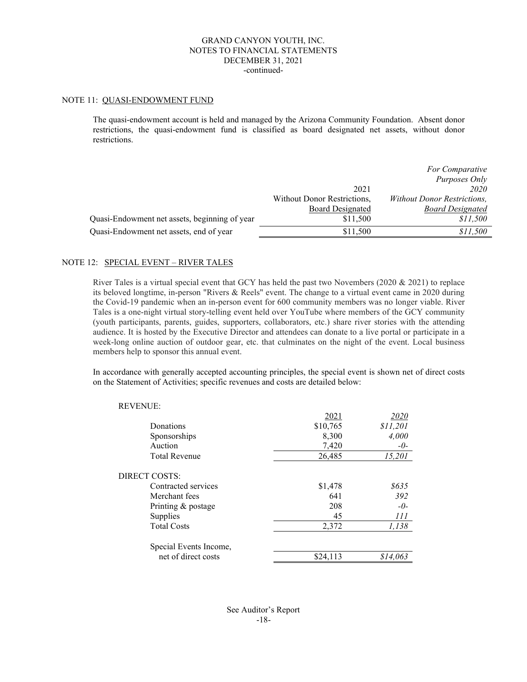# NOTE 11: QUASI-ENDOWMENT FUND

The quasi-endowment account is held and managed by the Arizona Community Foundation. Absent donor restrictions, the quasi-endowment fund is classified as board designated net assets, without donor restrictions.

|                                               |                             | For Comparative                    |
|-----------------------------------------------|-----------------------------|------------------------------------|
|                                               |                             | Purposes Only                      |
|                                               | 2021                        | 2020                               |
|                                               | Without Donor Restrictions, | <b>Without Donor Restrictions.</b> |
|                                               | <b>Board Designated</b>     | <b>Board Designated</b>            |
| Quasi-Endowment net assets, beginning of year | \$11,500                    | \$11,500                           |
| Quasi-Endowment net assets, end of year       | \$11,500                    | \$11,500                           |

# NOTE 12: SPECIAL EVENT – RIVER TALES

River Tales is a virtual special event that GCY has held the past two Novembers (2020 & 2021) to replace its beloved longtime, in-person "Rivers & Reels" event. The change to a virtual event came in 2020 during the Covid-19 pandemic when an in-person event for 600 community members was no longer viable. River Tales is a one-night virtual story-telling event held over YouTube where members of the GCY community (youth participants, parents, guides, supporters, collaborators, etc.) share river stories with the attending audience. It is hosted by the Executive Director and attendees can donate to a live portal or participate in a week-long online auction of outdoor gear, etc. that culminates on the night of the event. Local business members help to sponsor this annual event.

In accordance with generally accepted accounting principles, the special event is shown net of direct costs on the Statement of Activities; specific revenues and costs are detailed below:

| <b>REVENUE:</b>        |          |             |
|------------------------|----------|-------------|
|                        | 2021     | <i>2020</i> |
| Donations              | \$10,765 | \$11,201    |
| Sponsorships           | 8,300    | 4,000       |
| Auction                | 7,420    | $-0-$       |
| <b>Total Revenue</b>   | 26,485   | 15,201      |
| <b>DIRECT COSTS:</b>   |          |             |
| Contracted services    | \$1,478  | 8635        |
| Merchant fees          | 641      | 392         |
| Printing & postage     | 208      | $-0-$       |
| Supplies               | 45       | 111         |
| <b>Total Costs</b>     | 2,372    | 1,138       |
| Special Events Income, |          |             |
| net of direct costs    | \$24,113 | \$14,063    |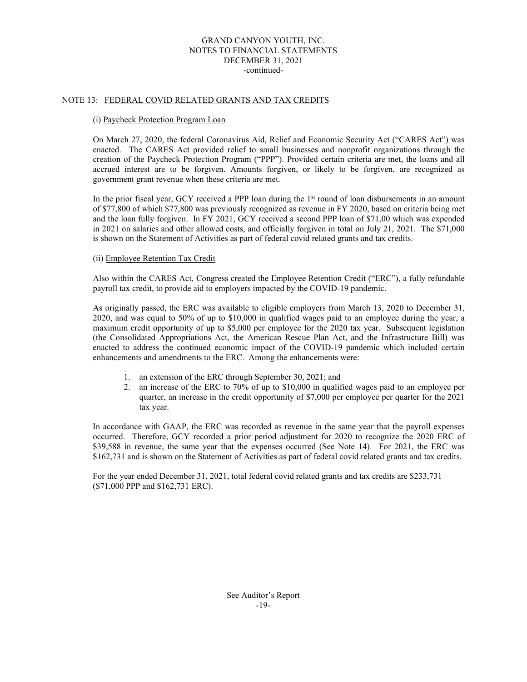# NOTE 13: FEDERAL COVID RELATED GRANTS AND TAX CREDITS

# (i) Paycheck Protection Program Loan

On March 27, 2020, the federal Coronavirus Aid, Relief and Economic Security Act ("CARES Act") was enacted. The CARES Act provided relief to small businesses and nonprofit organizations through the creation of the Paycheck Protection Program ("PPP"). Provided certain criteria are met, the loans and all accrued interest are to be forgiven. Amounts forgiven, or likely to be forgiven, are recognized as government grant revenue when these criteria are met.

In the prior fiscal year, GCY received a PPP loan during the 1st round of loan disbursements in an amount of \$77,800 of which \$77,800 was previously recognized as revenue in FY 2020, based on criteria being met and the loan fully forgiven. In FY 2021, GCY received a second PPP loan of \$71,00 which was expended in 2021 on salaries and other allowed costs, and officially forgiven in total on July 21, 2021. The \$71,000 is shown on the Statement of Activities as part of federal covid related grants and tax credits.

# (ii) Employee Retention Tax Credit

Also within the CARES Act, Congress created the Employee Retention Credit ("ERC"), a fully refundable payroll tax credit, to provide aid to employers impacted by the COVID-19 pandemic.

As originally passed, the ERC was available to eligible employers from March 13, 2020 to December 31, 2020, and was equal to 50% of up to \$10,000 in qualified wages paid to an employee during the year, a maximum credit opportunity of up to \$5,000 per employee for the 2020 tax year. Subsequent legislation (the Consolidated Appropriations Act, the American Rescue Plan Act, and the Infrastructure Bill) was enacted to address the continued economic impact of the COVID-19 pandemic which included certain enhancements and amendments to the ERC. Among the enhancements were:

- 1. an extension of the ERC through September 30, 2021; and
- 2. an increase of the ERC to 70% of up to \$10,000 in qualified wages paid to an employee per quarter, an increase in the credit opportunity of \$7,000 per employee per quarter for the 2021 tax year.

In accordance with GAAP, the ERC was recorded as revenue in the same year that the payroll expenses occurred. Therefore, GCY recorded a prior period adjustment for 2020 to recognize the 2020 ERC of \$39,588 in revenue, the same year that the expenses occurred (See Note 14). For 2021, the ERC was \$162,731 and is shown on the Statement of Activities as part of federal covid related grants and tax credits.

For the year ended December 31, 2021, total federal covid related grants and tax credits are \$233,731 (\$71,000 PPP and \$162,731 ERC).